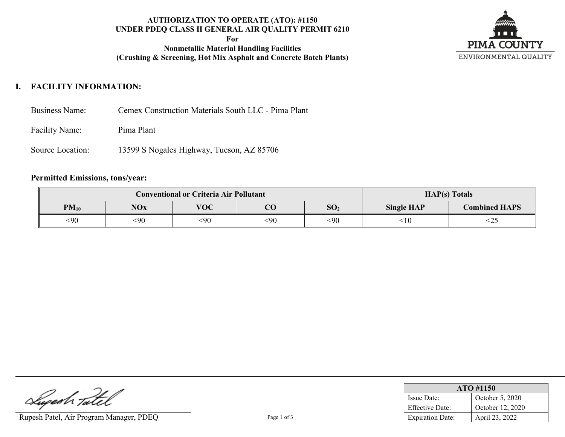### **AUTHORIZATION TO OPERATE (ATO): #1150 UNDER PDEQ CLASS II GENERAL AIR QUALITY PERMIT 6210**

**For**

**Nonmetallic Material Handling Facilities (Crushing & Screening, Hot Mix Asphalt and Concrete Batch Plants)**



# **I. FACILITY INFORMATION:**

- Business Name: Cemex Construction Materials South LLC Pima Plant
- Facility Name: Pima Plant
- Source Location: 13599 S Nogales Highway, Tucson, AZ 85706

### **Permitted Emissions, tons/year:**

| <b>Conventional or Criteria Air Pollutant</b> |            |            |        |                 | $HAP(s)$ Totals   |                      |  |
|-----------------------------------------------|------------|------------|--------|-----------------|-------------------|----------------------|--|
| $PM_{10}$                                     | <b>NOx</b> | <b>VOC</b> | $\cap$ | SO <sub>2</sub> | <b>Single HAP</b> | <b>Combined HAPS</b> |  |
| <90                                           | <90        | <90        | <90    | <90             | ${<}10$           | <2:                  |  |

Luperh Tatel

Rupesh Patel, Air Program Manager, PDEQ Page 1 of 3

| ATO #1150               |                  |  |  |  |
|-------------------------|------------------|--|--|--|
| Issue Date:             | October 5, 2020  |  |  |  |
| <b>Effective Date:</b>  | October 12, 2020 |  |  |  |
| <b>Expiration Date:</b> | April 23, 2022   |  |  |  |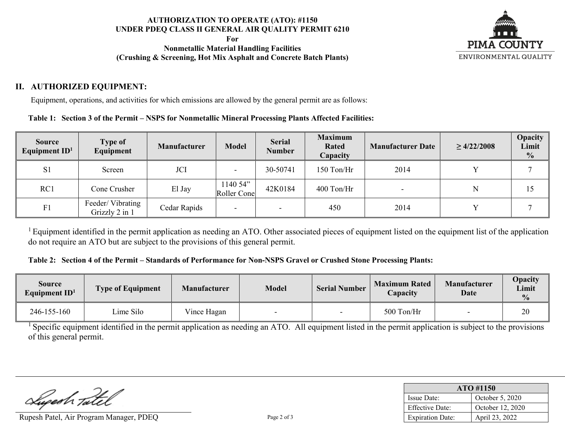### **AUTHORIZATION TO OPERATE (ATO): #1150 UNDER PDEQ CLASS II GENERAL AIR QUALITY PERMIT 6210**

**For**

**Nonmetallic Material Handling Facilities (Crushing & Screening, Hot Mix Asphalt and Concrete Batch Plants)**



## **II. AUTHORIZED EQUIPMENT:**

Equipment, operations, and activities for which emissions are allowed by the general permit are as follows:

### **Table 1: Section 3 of the Permit – NSPS for Nonmetallic Mineral Processing Plants Affected Facilities:**

| <b>Source</b><br>Equipment $ID1$ | <b>Type of</b><br>Equipment        | <b>Manufacturer</b> | <b>Model</b>            | <b>Serial</b><br><b>Number</b> | <b>Maximum</b><br><b>Rated</b><br><b>Capacity</b> | <b>Manufacturer Date</b> | $\geq 4/22/2008$ | <b>Opacity</b><br>Limit<br>$\frac{0}{0}$ |
|----------------------------------|------------------------------------|---------------------|-------------------------|--------------------------------|---------------------------------------------------|--------------------------|------------------|------------------------------------------|
| S <sub>1</sub>                   | Screen                             | JCI                 |                         | 30-50741                       | 150 Ton/Hr                                        | 2014                     |                  |                                          |
| RC1                              | Cone Crusher                       | El Jay              | 1140 54"<br>Roller Cone | 42K0184                        | $400$ Ton/Hr                                      |                          | N                | 15                                       |
| F1                               | Feeder/Vibrating<br>Grizzly 2 in 1 | Cedar Rapids        |                         |                                | 450                                               | 2014                     |                  |                                          |

<sup>1</sup> Equipment identified in the permit application as needing an ATO. Other associated pieces of equipment listed on the equipment list of the application do not require an ATO but are subject to the provisions of this general permit.

#### **Table 2: Section 4 of the Permit – Standards of Performance for Non-NSPS Gravel or Crushed Stone Processing Plants:**

| <b>Source</b><br>Equipment $ID1$ | <b>Type of Equipment</b> | <b>Manufacturer</b> | <b>Model</b>             | <b>Serial Number</b> | <b>Maximum Rated</b><br>Capacity | <b>Manufacturer</b><br><b>Date</b> | Opacity<br><b>Limit</b><br>$\frac{0}{0}$ |
|----------------------------------|--------------------------|---------------------|--------------------------|----------------------|----------------------------------|------------------------------------|------------------------------------------|
| 246-155-160                      | ime Silo                 | Vince Hagan         | $\overline{\phantom{0}}$ |                      | 500 Ton/Hr                       |                                    | 20                                       |

<sup>1</sup> Specific equipment identified in the permit application as needing an ATO. All equipment listed in the permit application is subject to the provisions of this general permit.

Lupeah Tate

Rupesh Patel, Air Program Manager, PDEQ Page 2 of 3

| ATO #1150               |                  |  |  |  |
|-------------------------|------------------|--|--|--|
| Issue Date:             | October 5, 2020  |  |  |  |
| Effective Date:         | October 12, 2020 |  |  |  |
| <b>Expiration Date:</b> | April 23, 2022   |  |  |  |